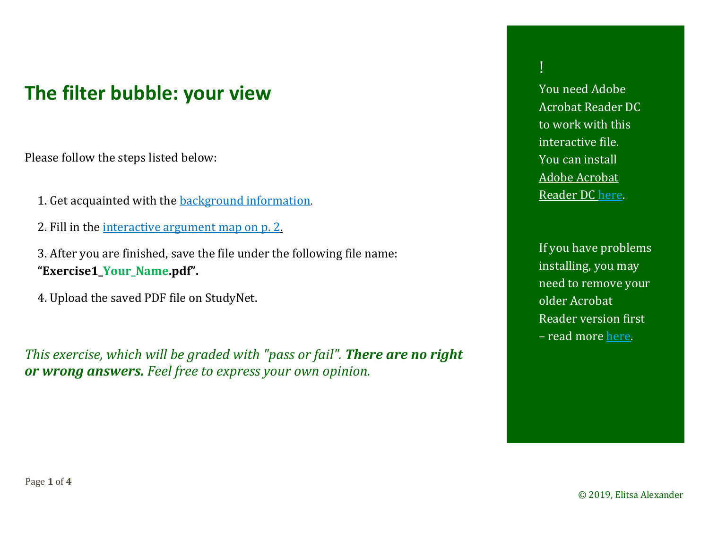## <span id="page-0-0"></span>**The filter bubble: your view**

Please follow the steps listed below:

- 1. Get acquainted with the **background** information.
- 2. Fill in the [interactive argument map on p.](#page-1-0) 2.
- 3. After you are finished, save the file under the following file name: **"Exercise1\_Your\_Name.pdf".**
- 4. Upload the saved PDF file on StudyNet.

*This exercise, which will be graded with "pass or fail". There are no right or wrong answers. Feel free to express your own opinion.*

!

You need Adobe Acrobat Reader DC to work with this interactive file. You can install [Adobe Acrobat](https://get.adobe.com/de/reader/)  [Reader DC here](https://get.adobe.com/de/reader/).

If you have problems installing, you may need to remove your older Acrobat Reader version first – read more [here](https://helpx.adobe.com/de/acrobat/kb/update-errors-acrobat-reader-windows.html).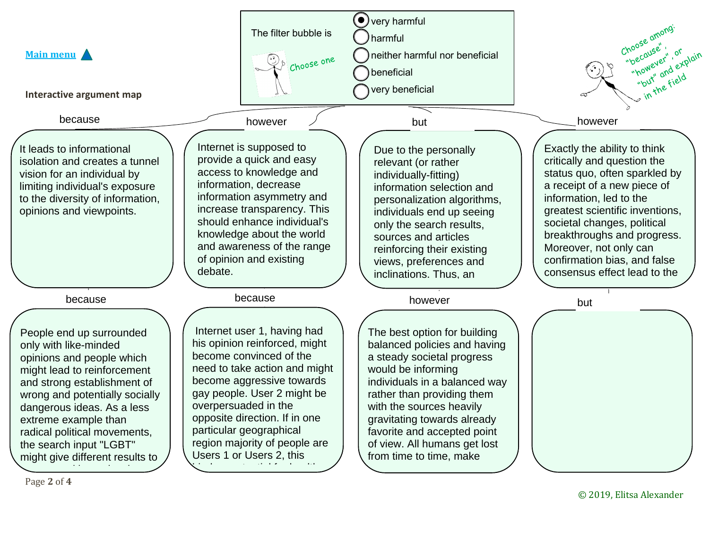<span id="page-1-0"></span>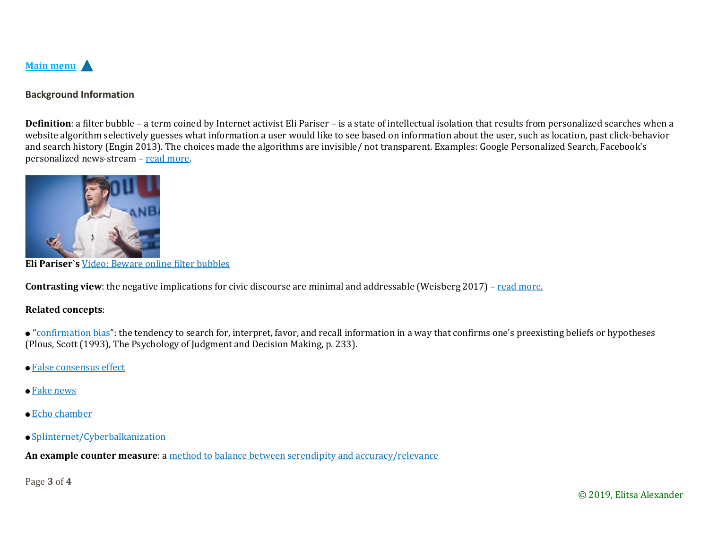<span id="page-2-0"></span>

## **Background Information**

**Definition**: a filter bubble – a term coined by Internet activist Eli Pariser – is a state of intellectual isolation that results from personalized searches when a website algorithm selectively guesses what information a user would like to see based on information about the user, such as location, past click-behavior and search history (Engin 2013). The choices made the algorithms are invisible/ not transparent. Examples: Google Personalized Search, Facebook's personalized news-stream – [read more](https://en.wikipedia.org/wiki/Filter_bubble).



**Eli Pariser`s** [Video: Beware online filter bubbles](https://videos.files.wordpress.com/0EZksUln/beware-online-filter-bubbles-eli-pariser-1_hd.mp4)

**Contrasting view**: the negative implications for civic discourse are minimal and addressable (Weisberg 2017) – [read more](https://bettervisual.org/wp-content/uploads/2019/02/Contrasting-view.pdf).

## **Related concepts**:

• "[confirmation bias](https://en.wikipedia.org/wiki/Confirmation_bias)": the tendency to search for, interpret, favor, and recall information in a way that confirms one's preexisting beliefs or hypotheses (Plous, Scott (1993), The Psychology of Judgment and Decision Making, p. 233).

- [False consensus effect](https://en.wikipedia.org/wiki/False_consensus_effect)
- [Fake news](https://en.wikipedia.org/wiki/Fake_news)
- [Echo chamber](https://en.wikipedia.org/wiki/Echo_chamber_(media))
- [Splinternet/Cyberbalkanization](https://en.wikipedia.org/wiki/Splinternet)

**An example counter measure**: a [method to balance between serendipity and accuracy/relevance](https://bettervisual.org/wp-content/uploads/2019/02/method-to-balance-between-serendipity-and-accuracy.pdf)

Page **3** of **4**